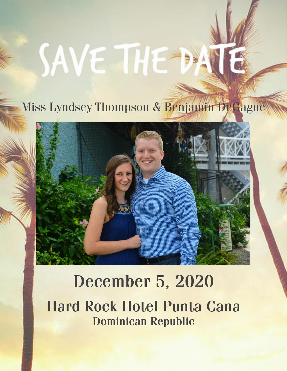# SAVE THE

# Miss Lyndsey Thompson & Benjamin DeGagne



# **December 5, 2020 Hard Rock Hotel Punta Cana Dominican Republic**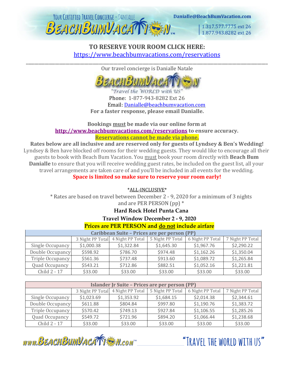

1.317.577.7775 ext 26 1.877,943,8282 ext 26

# **TO RESERVE YOUR ROOM CLICK HERE:** <https://www.beachbumvacations.com/reservations> \_\_\_\_\_\_\_\_\_\_\_\_\_\_\_\_\_\_\_\_\_\_\_\_\_\_\_\_\_\_\_\_\_\_\_\_\_\_\_\_\_\_\_\_\_\_\_\_\_\_\_\_\_\_\_\_\_\_\_\_\_\_\_\_\_\_\_\_\_\_\_\_\_\_\_\_\_\_\_\_\_\_\_\_\_\_\_\_\_\_\_\_\_\_\_\_\_\_\_\_\_\_\_\_\_\_\_\_\_\_\_\_\_\_\_\_

Our travel concierge is Danialle Natale



"Travel the WORLD with 'US' Phone: 1-877-943-8282 Ext 26 Email: [Danialle@beachbumvacation.com](mailto:Danialle@beachbumvacation.com) **For a faster response, please email Danialle.**

**Bookings must be made via our online form at <http://www.beachbumvacations.com/reservations> [t](http://www.beachbumvacation.com/reservation)o ensure accuracy. Reservations cannot be made via phone.**

**Rates below are all inclusive and are reserved only for guests of Lyndsey & Ben's Wedding!** Lyndsey & Ben have blocked off rooms for their wedding guests. They would like to encourage all their guests to book with Beach Bum Vacation. You must book your room directly with **Beach Bum Danialle** to ensure that you will receive wedding guest rates, be included on the guest list, all your travel arrangements are taken care of and you'll be included in all events for the wedding.

**Space is limited so make sure to reserve your room early!**

\*ALL-INCLUSIVE\*

\* Rates are based on travel between December 2 - 9, 2020 for a minimum of 3 nights and are PER PERSON (pp) \*

## **Hard Rock Hotel Punta Cana**

#### **Travel Window December 2 - 9, 2020**

| Caribbean Suite - Prices are per person (PP) |                  |                  |                  |                  |                  |  |  |  |
|----------------------------------------------|------------------|------------------|------------------|------------------|------------------|--|--|--|
|                                              | 3 Night PP Total | 4 Night PP Total | 5 Night PP Total | 6 Night PP Total | 7 Night PP Total |  |  |  |
| Single Occupancy                             | \$1,000.38       | \$1,322.84       | \$1,645.30       | \$1,967.76       | \$2,290.22       |  |  |  |
| Double Occupancy                             | \$598.92         | \$786.70         | \$974.48         | \$1,162.26       | \$1,350.04       |  |  |  |
| Triple Occupancy                             | \$561.36         | \$737.48         | \$913.60         | \$1,089.72       | \$1,265.84       |  |  |  |
| Quad Occupancy                               | \$543.21         | \$712.86         | \$882.51         | \$1,052.16       | \$1,221.81       |  |  |  |
| Child 2 - 17                                 | \$33.00          | \$33.00          | \$33.00          | \$33.00          | \$33.00          |  |  |  |

| Islander Jr Suite - Prices are per person (PP) |            |                                   |                  |                  |                  |  |  |  |
|------------------------------------------------|------------|-----------------------------------|------------------|------------------|------------------|--|--|--|
|                                                |            | 3 Night PP Total 4 Night PP Total | 5 Night PP Total | 6 Night PP Total | 7 Night PP Total |  |  |  |
| Single Occupancy                               | \$1,023.69 | \$1,353.92                        | \$1,684.15       | \$2,014.38       | \$2,344.61       |  |  |  |
| Double Occupancy                               | \$611.88   | \$804.84                          | \$997.80         | \$1,190.76       | \$1,383.72       |  |  |  |
| Triple Occupancy                               | \$570.42   | \$749.13                          | \$927.84         | \$1,106.55       | \$1,285.26       |  |  |  |
| Quad Occupancy                                 | \$549.72   | \$721.96                          | \$894.20         | \$1,066.44       | \$1,238.68       |  |  |  |
| Child 2 - 17                                   | \$33.00    | \$33.00                           | \$33.00          | \$33.00          | \$33.00          |  |  |  |

www.BEACHBUMVACATTEN.com

"TRAVFI THE WORLD WITH US"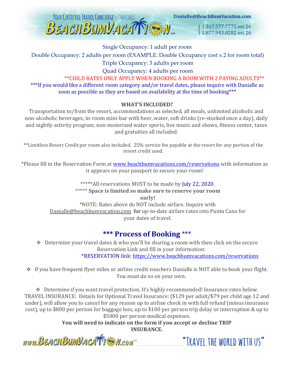

Danialle@BeachBumVacation.com

1.317.577.7775 ext 26 1.877.943.8282 ext 26

#### Single Occupancy: 1 adult per room

Double Occupancy: 2 adults per room (EXAMPLE: Double Occupancy cost x 2 for room total)

Triple Occupancy: 3 adults per room

Quad Occupancy: 4 adults per room

\*\*CHILD RATES ONLY APPLY WHEN BOOKING A ROOM WITH 2 PAYING ADULTS\*\* \*\*\*If you would like a different room category and/or travel dates, please inquire with Danialle as soon as possible as they are based on availability at the time of booking\*\*\*

## **WHAT'S INCLUDED?**

Transportation to/from the resort, accommodations as selected, all meals, unlimited alcoholic and non-alcoholic beverages, in-room mini-bar with beer, water, soft drinks (re-stocked once a day), daily and nightly activity program, non-motorized water sports, live music and shows, fitness center, taxes and gratuities all included.

\*\*Limitless Resort Credit per room also included. 25% service fee payable at the resort for any portion of the resort credit used.

\*Please fill in the Reservation Form at [www.beachbumvacations.com/reservations](http://www.beachbumvacations.com/reservations) with information as it appears on your passport to secure your room!

> \*\*\*\*\*All reservations MUST to be made by July 22, 2020. \*\*\*\*\* **Space is limited so make sure to reserve your room early!** \*NOTE: Rates above do NOT include airfare. Inquire with Danialle@beachbumvacation.com for up-to-date airfare rates into Punta Cana for your dates of travel.

# **\*\*\* Process of Booking** \*\*\*

 $\triangle$  Determine your travel dates & who you'll be sharing a room with then click on the secure Reservation Link and fill in your information: \*RESERVATION link[: https://www.beachbumvacations.com/reservations](https://www.beachbumvacations.com/reservations)

❖ If you have frequent flyer miles or airline credit vouchers Danialle is NOT able to book your flight. You must do so on your own.

❖ Determine if you want travel protection. It's highly recommended! Insurance rates below. TRAVEL INSURANCE: Details for Optional Travel Insurance: (\$129 per adult/\$79 per child age 12 and under), will allow you to cancel for any reason up to airline check in with full refund (minus insurance cost), up to \$800 per person for baggage loss, up to \$100 per person trip delay or interruption & up to \$5000 per person medical expenses.

> **You will need to indicate on the form if you accept or decline TRIP INSURANCE.**

www.BEACHBUMVACATTEM.com

"TRAVEL THE WORLD WITH US"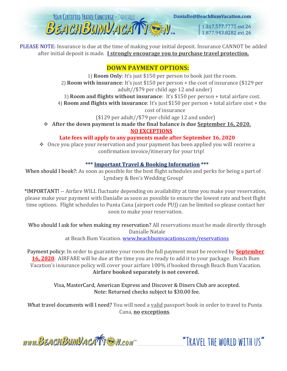

PLEASE NOTE: Insurance is due at the time of making your initial deposit. Insurance CANNOT be added after initial deposit is made. **I strongly encourage you to purchase travel protection.**

# **DOWN PAYMENT OPTIONS:**

1) **Room Only**: It's just \$150 per person to book just the room. 2) **Room with insurance**: It's just \$150 per person + the cost of insurance (\$129 per adult//\$79 per child age 12 and under)

3) **Room and flights without insurance**: It's \$150 per person + total airfare cost.

4) **Room and flights with insurance**: It's just \$150 per person + total airfare cost + the cost of insurance

(\$129 per adult//\$79 per child age 12 and under)

❖ **After the down payment is made the final balance is due September 16, 2020. NO EXCEPTIONS**

## **Late fees will apply to any payments made after September 16, 2020**

❖ Once you place your reservation and your payment has been applied you will receive a confirmation invoice/itinerary for your trip!

## **\*\*\* Important Travel & Booking Information \*\*\***

When should I book?: As soon as possible for the best flight schedules and perks for being a part of Lyndsey & Ben's Wedding Group!

\*IMPORTANT! -- Airfare WILL fluctuate depending on availability at time you make your reservation, please make your payment with Danialle as soon as possible to ensure the lowest rate and best flight time options. Flight schedules to Punta Cana (airport code PUJ) can be limited so please contact her soon to make your reservation.

Who should I ask for when making my reservation? All reservations must be made directly through Danialle Natale at Beach Bum Vacation. [www.beachbumvacations.com/reservations](http://www.beachbumvacations.com/reservations)

Payment policy: In order to guarantee your room the full payment must be received by **September 16, 2020**. AIRFARE will be due at the time you are ready to add it to your package. Beach Bum Vacation's insurance policy will cover your airfare 100% if booked through Beach Bum Vacation. **Airfare booked separately is not covered.**

> Visa, MasterCard, American Express and Discover & Diners Club are accepted. Note: Returned checks subject to \$30.00 fee.

What travel documents will I need? You will need a valid passport book in order to travel to Punta Cana, **no exceptions**.

www.BEACHBUMVACATTEM.com

"TRAVFI THE WORLD WITH US"